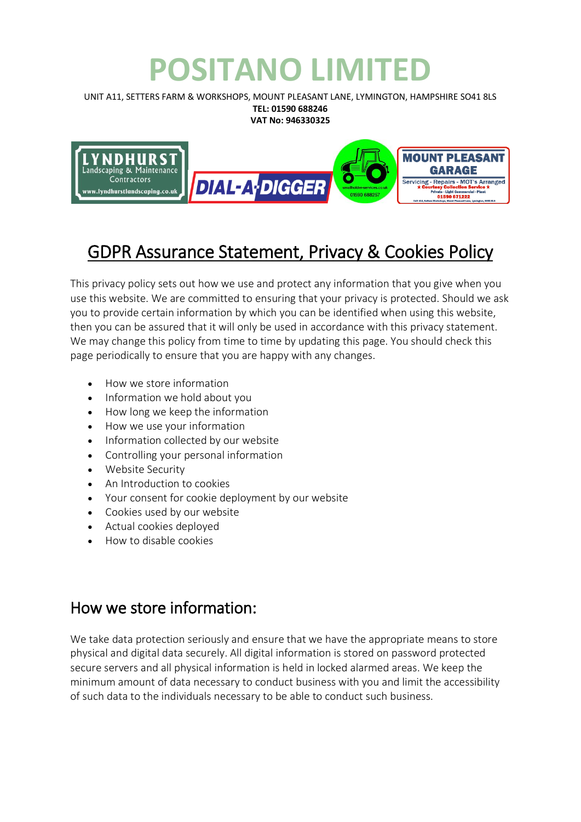UNIT A11, SETTERS FARM & WORKSHOPS, MOUNT PLEASANT LANE, LYMINGTON, HAMPSHIRE SO41 8LS

**TEL: 01590 688246 VAT No: 946330325**



## GDPR Assurance Statement, Privacy & Cookies Policy

This privacy policy sets out how we use and protect any information that you give when you use this website. We are committed to ensuring that your privacy is protected. Should we ask you to provide certain information by which you can be identified when using this website, then you can be assured that it will only be used in accordance with this privacy statement. We may change this policy from time to time by updating this page. You should check this page periodically to ensure that you are happy with any changes.

- How we store information
- Information we hold about you
- How long we keep the information
- How we use your information
- Information collected by our website
- Controlling your personal information
- Website Security
- An Introduction to cookies
- Your consent for cookie deployment by our website
- Cookies used by our website
- Actual cookies deployed
- How to disable cookies

### How we store information:

We take data protection seriously and ensure that we have the appropriate means to store physical and digital data securely. All digital information is stored on password protected secure servers and all physical information is held in locked alarmed areas. We keep the minimum amount of data necessary to conduct business with you and limit the accessibility of such data to the individuals necessary to be able to conduct such business.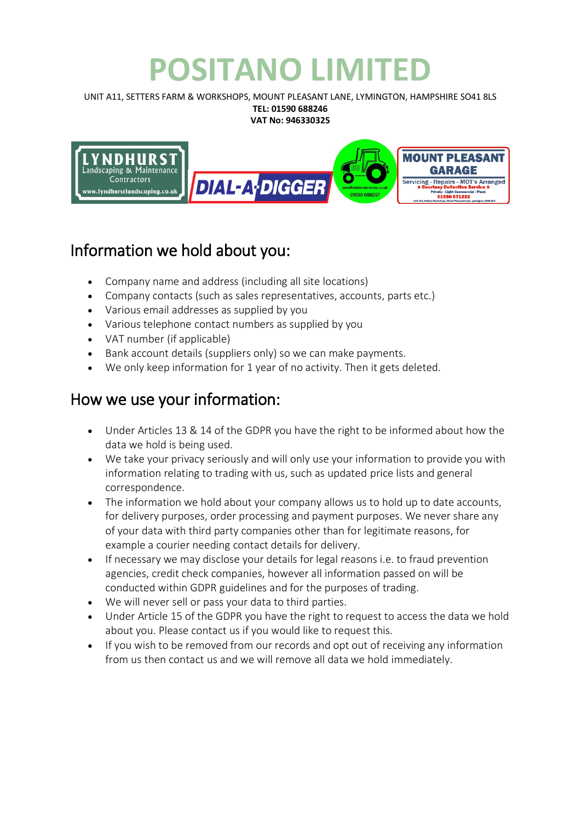UNIT A11, SETTERS FARM & WORKSHOPS, MOUNT PLEASANT LANE, LYMINGTON, HAMPSHIRE SO41 8LS

**TEL: 01590 688246 VAT No: 946330325**



### Information we hold about you:

- Company name and address (including all site locations)
- Company contacts (such as sales representatives, accounts, parts etc.)
- Various email addresses as supplied by you
- Various telephone contact numbers as supplied by you
- VAT number (if applicable)
- Bank account details (suppliers only) so we can make payments.
- We only keep information for 1 year of no activity. Then it gets deleted.

### How we use your information:

- Under Articles 13 & 14 of the GDPR you have the right to be informed about how the data we hold is being used.
- We take your privacy seriously and will only use your information to provide you with information relating to trading with us, such as updated price lists and general correspondence.
- The information we hold about your company allows us to hold up to date accounts, for delivery purposes, order processing and payment purposes. We never share any of your data with third party companies other than for legitimate reasons, for example a courier needing contact details for delivery.
- If necessary we may disclose your details for legal reasons i.e. to fraud prevention agencies, credit check companies, however all information passed on will be conducted within GDPR guidelines and for the purposes of trading.
- We will never sell or pass your data to third parties.
- Under Article 15 of the GDPR you have the right to request to access the data we hold about you. Please contact us if you would like to request this.
- If you wish to be removed from our records and opt out of receiving any information from us then contact us and we will remove all data we hold immediately.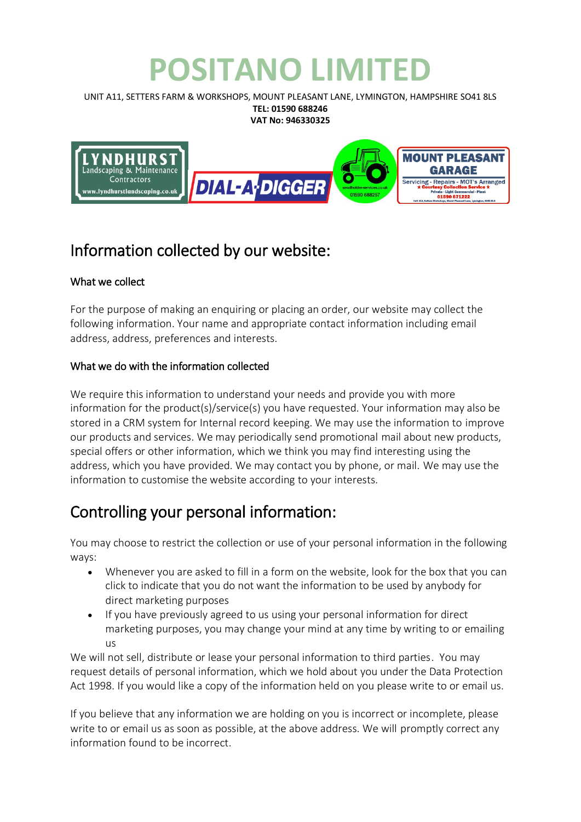UNIT A11, SETTERS FARM & WORKSHOPS, MOUNT PLEASANT LANE, LYMINGTON, HAMPSHIRE SO41 8LS

**TEL: 01590 688246 VAT No: 946330325**



## Information collected by our website:

#### What we collect

For the purpose of making an enquiring or placing an order, our website may collect the following information. Your name and appropriate contact information including email address, address, preferences and interests.

#### What we do with the information collected

We require this information to understand your needs and provide you with more information for the product(s)/service(s) you have requested. Your information may also be stored in a CRM system for Internal record keeping. We may use the information to improve our products and services. We may periodically send promotional mail about new products, special offers or other information, which we think you may find interesting using the address, which you have provided. We may contact you by phone, or mail. We may use the information to customise the website according to your interests.

## Controlling your personal information:

You may choose to restrict the collection or use of your personal information in the following ways:

- Whenever you are asked to fill in a form on the website, look for the box that you can click to indicate that you do not want the information to be used by anybody for direct marketing purposes
- If you have previously agreed to us using your personal information for direct marketing purposes, you may change your mind at any time by writing to or emailing us

We will not sell, distribute or lease your personal information to third parties. You may request details of personal information, which we hold about you under the Data Protection Act 1998. If you would like a copy of the information held on you please write to or email us.

If you believe that any information we are holding on you is incorrect or incomplete, please write to or email us as soon as possible, at the above address. We will promptly correct any information found to be incorrect.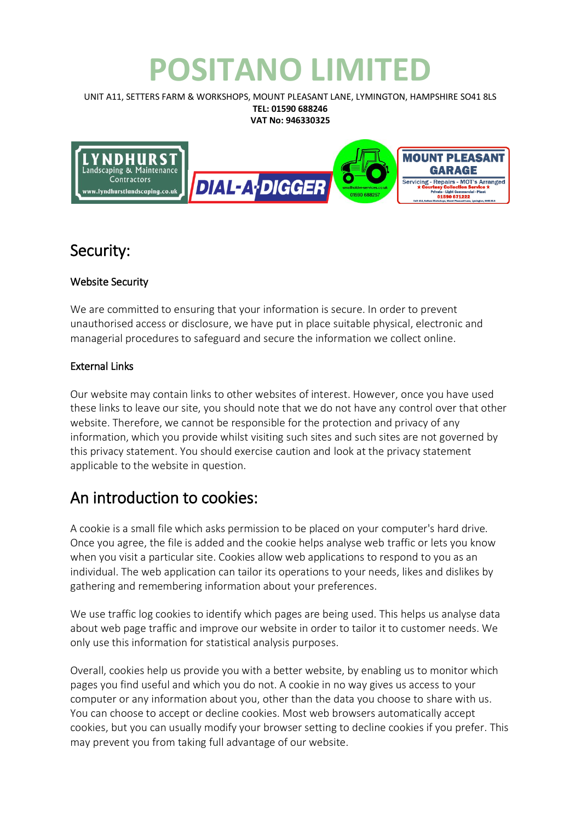UNIT A11, SETTERS FARM & WORKSHOPS, MOUNT PLEASANT LANE, LYMINGTON, HAMPSHIRE SO41 8LS

**TEL: 01590 688246 VAT No: 946330325**



### Security:

#### Website Security

We are committed to ensuring that your information is secure. In order to prevent unauthorised access or disclosure, we have put in place suitable physical, electronic and managerial procedures to safeguard and secure the information we collect online.

#### External Links

Our website may contain links to other websites of interest. However, once you have used these links to leave our site, you should note that we do not have any control over that other website. Therefore, we cannot be responsible for the protection and privacy of any information, which you provide whilst visiting such sites and such sites are not governed by this privacy statement. You should exercise caution and look at the privacy statement applicable to the website in question.

### An introduction to cookies:

A cookie is a small file which asks permission to be placed on your computer's hard drive. Once you agree, the file is added and the cookie helps analyse web traffic or lets you know when you visit a particular site. Cookies allow web applications to respond to you as an individual. The web application can tailor its operations to your needs, likes and dislikes by gathering and remembering information about your preferences.

We use traffic log cookies to identify which pages are being used. This helps us analyse data about web page traffic and improve our website in order to tailor it to customer needs. We only use this information for statistical analysis purposes.

Overall, cookies help us provide you with a better website, by enabling us to monitor which pages you find useful and which you do not. A cookie in no way gives us access to your computer or any information about you, other than the data you choose to share with us. You can choose to accept or decline cookies. Most web browsers automatically accept cookies, but you can usually modify your browser setting to decline cookies if you prefer. This may prevent you from taking full advantage of our website.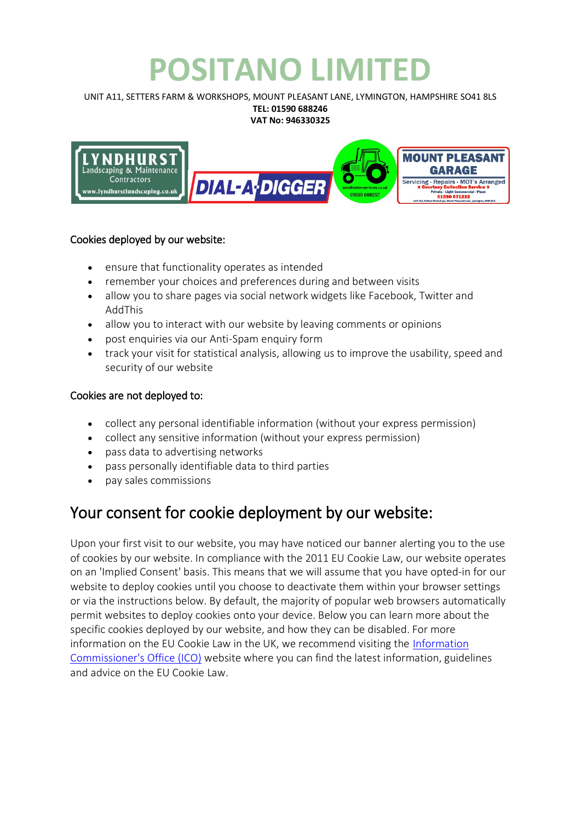UNIT A11, SETTERS FARM & WORKSHOPS, MOUNT PLEASANT LANE, LYMINGTON, HAMPSHIRE SO41 8LS

**TEL: 01590 688246 VAT No: 946330325**



#### Cookies deployed by our website:

- ensure that functionality operates as intended
- remember your choices and preferences during and between visits
- allow you to share pages via social network widgets like Facebook, Twitter and AddThis
- allow you to interact with our website by leaving comments or opinions
- post enquiries via our Anti-Spam enquiry form
- track your visit for statistical analysis, allowing us to improve the usability, speed and security of our website

#### Cookies are not deployed to:

- collect any personal identifiable information (without your express permission)
- collect any sensitive information (without your express permission)
- pass data to advertising networks
- pass personally identifiable data to third parties
- pay sales commissions

### Your consent for cookie deployment by our website:

Upon your first visit to our website, you may have noticed our banner alerting you to the use of cookies by our website. In compliance with the 2011 EU Cookie Law, our website operates on an 'Implied Consent' basis. This means that we will assume that you have opted-in for our website to deploy cookies until you choose to deactivate them within your browser settings or via the instructions below. By default, the majority of popular web browsers automatically permit websites to deploy cookies onto your device. Below you can learn more about the specific cookies deployed by our website, and how they can be disabled. For more information on the EU Cookie Law in the UK, we recommend visiting the [Information](http://www.ico.gov.uk/)  [Commissioner's Office \(ICO\)](http://www.ico.gov.uk/) website where you can find the latest information, guidelines and advice on the EU Cookie Law.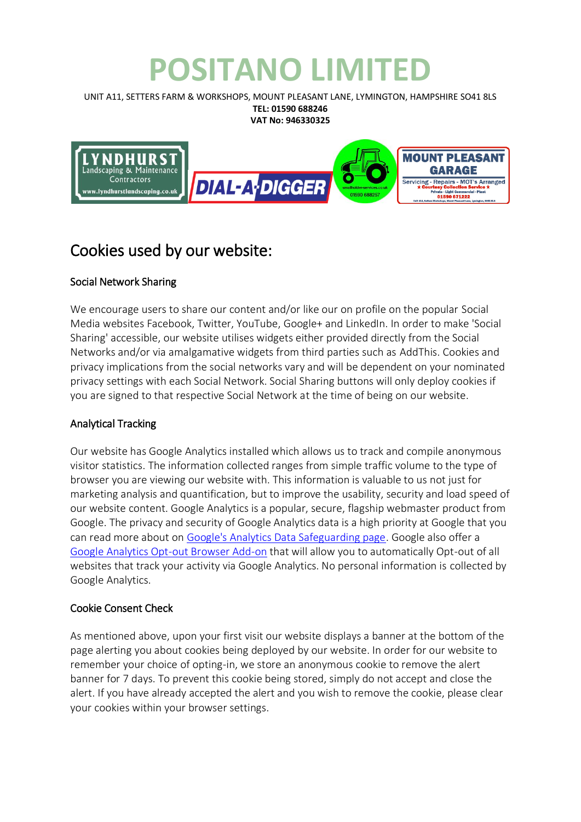UNIT A11, SETTERS FARM & WORKSHOPS, MOUNT PLEASANT LANE, LYMINGTON, HAMPSHIRE SO41 8LS

**TEL: 01590 688246 VAT No: 946330325**



### Cookies used by our website:

#### Social Network Sharing

We encourage users to share our content and/or like our on profile on the popular Social Media websites Facebook, Twitter, YouTube, Google+ and LinkedIn. In order to make 'Social Sharing' accessible, our website utilises widgets either provided directly from the Social Networks and/or via amalgamative widgets from third parties such as AddThis. Cookies and privacy implications from the social networks vary and will be dependent on your nominated privacy settings with each Social Network. Social Sharing buttons will only deploy cookies if you are signed to that respective Social Network at the time of being on our website.

#### Analytical Tracking

Our website has Google Analytics installed which allows us to track and compile anonymous visitor statistics. The information collected ranges from simple traffic volume to the type of browser you are viewing our website with. This information is valuable to us not just for marketing analysis and quantification, but to improve the usability, security and load speed of our website content. Google Analytics is a popular, secure, flagship webmaster product from Google. The privacy and security of Google Analytics data is a high priority at Google that you can read more about on [Google's Analytics Data Safeguarding page.](http://www.google.com/analytics/learn/privacy.html) Google also offer a [Google Analytics Opt-out Browser Add-on](https://tools.google.com/dlpage/gaoptout) that will allow you to automatically Opt-out of all websites that track your activity via Google Analytics. No personal information is collected by Google Analytics.

#### Cookie Consent Check

As mentioned above, upon your first visit our website displays a banner at the bottom of the page alerting you about cookies being deployed by our website. In order for our website to remember your choice of opting-in, we store an anonymous cookie to remove the alert banner for 7 days. To prevent this cookie being stored, simply do not accept and close the alert. If you have already accepted the alert and you wish to remove the cookie, please clear your cookies within your browser settings.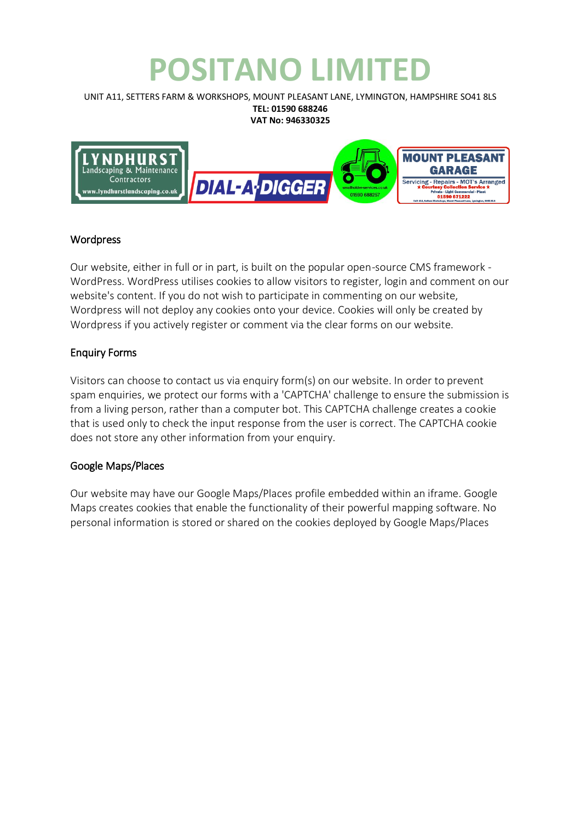UNIT A11, SETTERS FARM & WORKSHOPS, MOUNT PLEASANT LANE, LYMINGTON, HAMPSHIRE SO41 8LS

**TEL: 01590 688246 VAT No: 946330325**



#### Wordpress

Our website, either in full or in part, is built on the popular open-source CMS framework - WordPress. WordPress utilises cookies to allow visitors to register, login and comment on our website's content. If you do not wish to participate in commenting on our website, Wordpress will not deploy any cookies onto your device. Cookies will only be created by Wordpress if you actively register or comment via the clear forms on our website.

#### Enquiry Forms

Visitors can choose to contact us via enquiry form(s) on our website. In order to prevent spam enquiries, we protect our forms with a 'CAPTCHA' challenge to ensure the submission is from a living person, rather than a computer bot. This CAPTCHA challenge creates a cookie that is used only to check the input response from the user is correct. The CAPTCHA cookie does not store any other information from your enquiry.

#### Google Maps/Places

Our website may have our Google Maps/Places profile embedded within an iframe. Google Maps creates cookies that enable the functionality of their powerful mapping software. No personal information is stored or shared on the cookies deployed by Google Maps/Places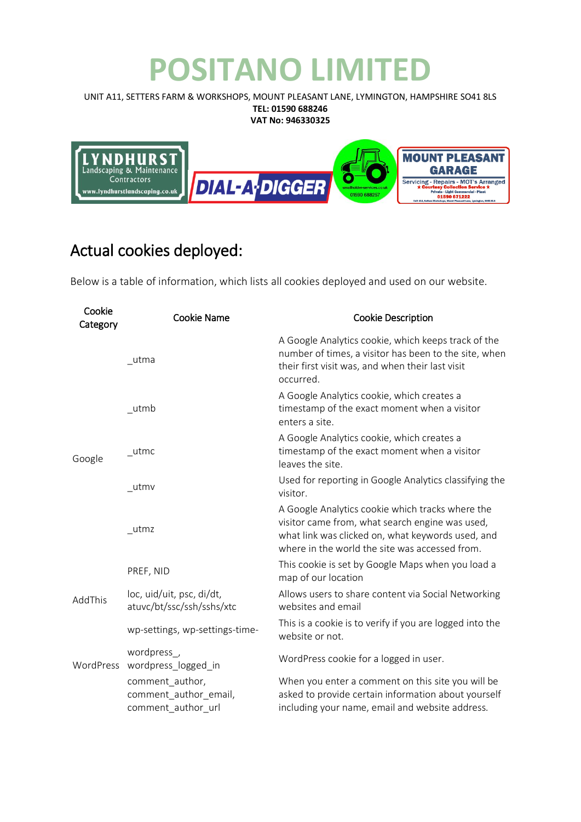UNIT A11, SETTERS FARM & WORKSHOPS, MOUNT PLEASANT LANE, LYMINGTON, HAMPSHIRE SO41 8LS

**TEL: 01590 688246 VAT No: 946330325**



## Actual cookies deployed:

Below is a table of information, which lists all cookies deployed and used on our website.

| Cookie<br>Category | <b>Cookie Name</b>                                             | <b>Cookie Description</b>                                                                                                                                                                                  |
|--------------------|----------------------------------------------------------------|------------------------------------------------------------------------------------------------------------------------------------------------------------------------------------------------------------|
| Google             | utma                                                           | A Google Analytics cookie, which keeps track of the<br>number of times, a visitor has been to the site, when<br>their first visit was, and when their last visit<br>occurred.                              |
|                    | utmb                                                           | A Google Analytics cookie, which creates a<br>timestamp of the exact moment when a visitor<br>enters a site.                                                                                               |
|                    | utmc                                                           | A Google Analytics cookie, which creates a<br>timestamp of the exact moment when a visitor<br>leaves the site.                                                                                             |
|                    | utmv                                                           | Used for reporting in Google Analytics classifying the<br>visitor.                                                                                                                                         |
|                    | $_{\rm \_$ utmz                                                | A Google Analytics cookie which tracks where the<br>visitor came from, what search engine was used,<br>what link was clicked on, what keywords used, and<br>where in the world the site was accessed from. |
|                    | PREF, NID                                                      | This cookie is set by Google Maps when you load a<br>map of our location                                                                                                                                   |
| AddThis            | loc, uid/uit, psc, di/dt,<br>atuvc/bt/ssc/ssh/sshs/xtc         | Allows users to share content via Social Networking<br>websites and email                                                                                                                                  |
|                    | wp-settings, wp-settings-time-                                 | This is a cookie is to verify if you are logged into the<br>website or not.                                                                                                                                |
|                    | wordpress_,<br>WordPress wordpress_logged_in                   | WordPress cookie for a logged in user.                                                                                                                                                                     |
|                    | comment author,<br>comment_author_email,<br>comment_author_url | When you enter a comment on this site you will be<br>asked to provide certain information about yourself<br>including your name, email and website address.                                                |